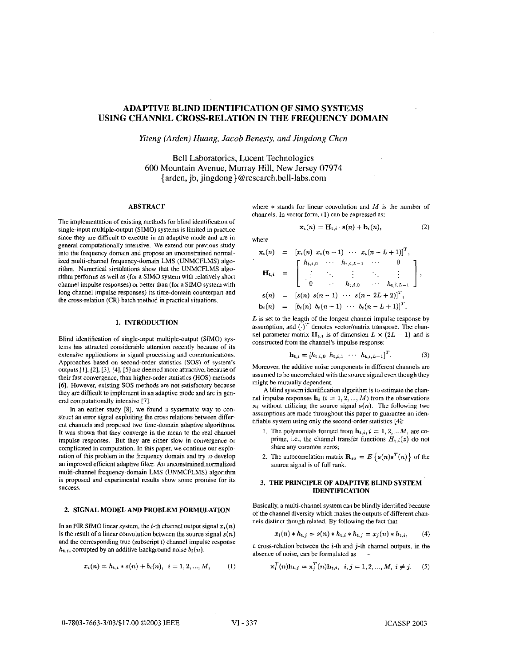# **ADAPTIVE BLIND IDENTIFICATION OF SIMO SYSTEMS USING CHANNEL CROSS-RELATION IN THE FREQUENCY DOMAIN**

*Kteng (Arden) Huang, Jacob Benesty, and Jingdong Chen* 

Bell Laboratories, Lucent Technologies 600 Mountain Avenue, Murray Hill, New Jersey 07974 {arden, jb, jingdong} [@research.bell-labs.com](mailto:research.bell-labs.com)

### **ABSTRACT**

The implementation of existing methods for blind identification of single-input multiple-output (SIMO) systems is limited in practice since they are difficult to execute **in** an adaptive mode and are in general computationally intensive. We extend our previous study into the frequency domain and propose an unconstrained normalized multi-channel frequency-domain LMS (UNMCFLMS) algorithm. Numerical simulations show that the UNMCFLMS algorithm performs as well as (for a SIMO system with relatively short channel impulse responses) or better than (for a **SIMO** system with long channel impulse responses) its time-domain counterpart and the cross-relation (CR) batch method in practical situations.

### **1. INTRODUCTION**

Blind identification of single-input multiple-output (SIMO) systems has attracted considerable attention recently because of its extensive applications in signal processing and communications. Approaches based **on** second-order statistics (SOS) of system's outputs **[I],** *121, [3],* **[41, [SI** are deemed more attractive, because of their fast convergence, than higher-order statistics (HOS) methods *[6].* However, existing *SOS* methods are not satisfactory because they are difficult to implement in an adaptive mode and are in general computationally intensive [71.

In an earlier study **[SI,** we found a systematic way to construct an error signal exploiting the cross relations between different channels and proposed two time-domain adaptive algorithms. It was shown that they converge in the mean to the real channel impulse responses. But they are either slow in convergence or complicated in computation. In this paper, we continue our exploration of this problem in the frequency domain and try to develop an improved efficient adaptive filter. An unconstrained normalized multi-channel frequency-domain LMS (UNMCFLMS) algorithm is proposed and experimental results show some promise for its success.

#### **2. SIGNAL MODEL AND PROBLEM FORMULATION**

In an FIR SIMO linear system, the  $i$ -th channel output signal  $x_i(n)$ is the result of a linear convolution between the source signal  $s(n)$ and the corresponding true (subscript t) channel impulse response *h*<sub>t,*i*</sub>, corrupted by an additive background noise *b<sub>i</sub>*(*n*):<br>  $x_i(n) = h_{t,i} * s(n) + b_i(n), i = 1, 2, ..., M,$  (1)

$$
x_i(n) = h_{i,i} * s(n) + b_i(n), \quad i = 1, 2, ..., M,
$$
 (1)

where  $*$  stands for linear convolution and  $M$  is the number of channels. In vector form, (I) can be expressed as:

$$
\mathbf{x}_i(n) = \mathbf{H}_{t,i} \cdot \mathbf{s}(n) + \mathbf{b}_i(n), \tag{2}
$$

where

$$
\mathbf{x}_{i}(n) = [x_{i}(n) x_{i}(n-1) \cdots x_{i}(n-L+1)]^{T},
$$
\n
$$
\mathbf{H}_{t,i} = \begin{bmatrix}\nh_{t,i,0} & \cdots & h_{t,i,L-1} & \cdots & 0 \\
\vdots & \ddots & \vdots & \ddots & \vdots \\
0 & \cdots & h_{t,i,0} & \cdots & h_{t,i,L-1}\n\end{bmatrix},
$$
\n
$$
\mathbf{s}(n) = [s(n) s(n-1) \cdots s(n-2L+2)]^{T},
$$
\n
$$
\mathbf{b}_{i}(n) = [b_{i}(n) b_{i}(n-1) \cdots b_{i}(n-L+1)]^{T},
$$

*L* is set to the length of the longest channel impulse response by assumption, and  $(\cdot)^T$  denotes vector/matrix transpose. The channel parameter matrix  $\mathbf{H}_{t,i}$  is of dimension  $L \times (2L - 1)$  and is constructed from the channel's impulse response:

$$
\mathbf{h}_{t,i} = [h_{t,i,0} \ \ h_{t,i,1} \ \ \cdots \ \ h_{t,i,L-1}]^T. \tag{3}
$$

Moreover, the additive noise components in different channels are assumed to be uncorrelated with the source signal even though they might be mutually dependent.

A blind system identification algorithm is to estimate the channel impulse responses  $\mathbf{h}_i$  ( $i = 1, 2, ..., M$ ) from the observations  $x_i$  without utilizing the source signal  $s(n)$ . The following two assumptions are made throughout this paper to guarantee an identifiable system using only the second-order statistics [41:

- 1. The polynomials formed from  $h_{t,i}$ ,  $i = 1, 2, ...M$ , are coprime, i.e., the channel transfer functions  $H_{t,i}(z)$  do not share any common zeros;
- 2. The autocorrelation matrix  $\mathbf{R}_{ss} = E\left\{ \mathbf{s}(n)\mathbf{s}^T(n) \right\}$  of the source signal is of full rank.

#### **3. THE PRINCIPLE OF ADAPTIVE BLIND SYSTEM IDENTIFICATION**

Basically, **a** multi-channel system can be blindly identified because of the channel diversity which makes the outputs of different channels distinct though related. By following the fact that

$$
x_i(n) * h_{t,j} = s(n) * h_{t,i} * h_{t,j} = x_j(n) * h_{t,i}, \qquad (4)
$$

a cross-relation between the  $i$ -th and  $j$ -th channel outputs, in the absence of noise, can be formulated as -.

$$
\mathbf{x}_i^T(n)\mathbf{h}_{t,j} = \mathbf{x}_j^T(n)\mathbf{h}_{t,i}, \ \ i, j = 1, 2, ..., M, \ i \neq j. \tag{5}
$$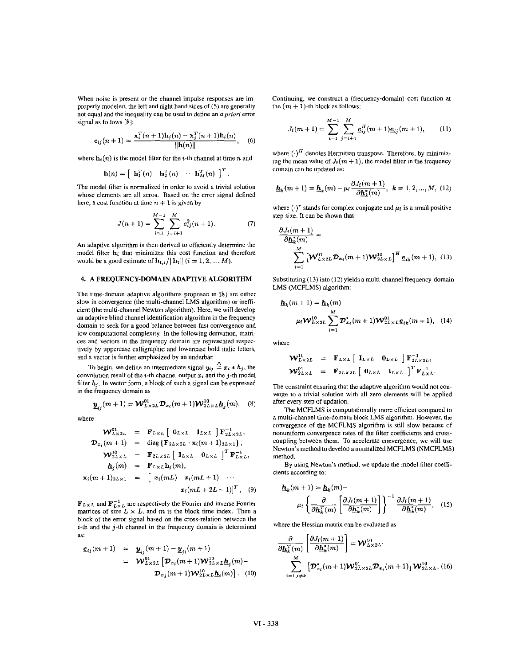When noise is present or the channel impulse responses are improperly modeled. the left and right hand sides of *(5)* are generally not equal and the inequality can be used to define **an** *a priori* error signal as follows [8]:

$$
e_{ij}(n+1) = \frac{\mathbf{x}_i^T(n+1)\mathbf{h}_j(n) - \mathbf{x}_j^T(n+1)\mathbf{h}_i(n)}{\|\mathbf{h}(n)\|}, \quad (6)
$$

where  $\mathbf{h}_i(n)$  is the model filter for the *i*-th channel at time *n* and

$$
\mathbf{h}(n) = \begin{bmatrix} \mathbf{h}_1^T(n) & \mathbf{h}_2^T(n) & \cdots \mathbf{h}_M^T(n) \end{bmatrix}^T.
$$

The model filter is normalized in order to avoid a trivial solution whose elements are all zeros. Based on the error signal defined here, a cost function at time  $n + 1$  is given by

$$
J(n+1) = \sum_{i=1}^{M-1} \sum_{j=i+1}^{M} e_{ij}^{2}(n+1). \tag{7}
$$

An adaptive algorithm is then derived to efficiently determine the model filter **hi** that minimizes this cost function and therefore would be a good estimate of  $\mathbf{h}_{t,i}/||\mathbf{h}_{t}||$   $(i = 1, 2, ..., M)$ .

## **4.** A FREQUENCY-DOMAIN ADAPTIVE ALGORITHM

The time-domain adaptive algorithms proposed in **IS]** are either slow in convergence (the multi-channel LMS algorithm) or inefficient (the multi-channel Newton algorithm). Here, we will develop an adaptive blind channel identification algorithm in the frequency domain to seek for a good balance between fast convergence and low computational complexity. In the following derivation, matrices and vectors in the frequency domain are represented respectively by uppercase calligraphic and lowercase hold italic letters, and a vector is further emphasized by an underbar.

To begin, we define an intermediate signal  $y_{ij} \triangleq x_i * h_j$ , the convolution result of the *i*-th channel output  $x_i$  and the *j*-th model filter  $h_i$ . In vector form, a block of such a signal can be expressed in the frequency domain as

$$
\underline{\boldsymbol{y}}_{ij}(m+1) = \mathbf{W}_{L\times 2L}^{01} \mathbf{D}_{x_i}(m+1) \mathbf{W}_{2L\times L}^{10} \underline{\boldsymbol{h}}_j(m), \quad (8) \quad \text{after}
$$

where

$$
\mathbf{W}_{L\times 2L}^{\text{UL}} = \mathbf{F}_{L\times L} \begin{bmatrix} 0_{L\times L} & \mathbf{I}_{L\times L} \end{bmatrix} \mathbf{F}_{2L\times 2L}^{-1},
$$
\n
$$
\mathbf{D}_{x_i}(m+1) = \text{diag}\left\{\mathbf{F}_{2L\times 2L} \cdot \mathbf{x}_i(m+1)_{2L\times 1}\right\},
$$
\n
$$
\mathbf{W}_{2L\times L}^{\text{10}} = \mathbf{F}_{2L\times 2L} \begin{bmatrix} \mathbf{I}_{L\times L} & 0_{L\times L} \end{bmatrix}^T \mathbf{F}_{L\times L}^{-1},
$$
\n
$$
\mathbf{h}_j(m) = \mathbf{F}_{L\times L} \mathbf{h}_j(m),
$$
\n
$$
\mathbf{x}_i(m+1)_{2L\times 1} = \begin{bmatrix} x_i(mL) & x_i(mL+1) & \cdots & x_i(mL+2L-1) \end{bmatrix}^T, \quad (9)
$$

 **and**  $**F**<sub>L×L</sub><sub>L</sub>$  **are respectively the Fourier and inverse Fourier matrices of size** *L* **×** *L***, and** *m* **is the block time index. Then a** block of the error signal based on the cross-relation between the  $i$ -th and the  $j$ -th channel in the frequency domain is determined as:

$$
\underline{e}_{ij}(m+1) = \underline{y}_{ij}(m+1) - \underline{y}_{ji}(m+1) \n= \mathcal{W}^{01}_{L \times 2L} [\mathcal{D}_{x_i}(m+1)\mathcal{W}^{10}_{2L \times L}\underline{h}_j(m) - \\ \mathcal{D}_{x_j}(m+1)\mathcal{W}^{10}_{2L \times L}\underline{h}_i(m)]
$$
 (10)

Continuing, we constmct a (frequency-domain) Cost function at the  $(m + 1)$ -th block as follows:

$$
J_{\rm f}(m+1) = \sum_{i=1}^{M-1} \sum_{j=i+1}^{M} \underline{e}_{ij}^H(m+1)\underline{e}_{ij}(m+1), \qquad (11)
$$

where  $(\cdot)^H$  denotes Hermitian transpose. Therefore, by minimizing the mean value of  $J_f(m + 1)$ , the model filter in the frequency domain can he updated **as:** 

$$
\underline{\mathbf{h}}_k(m+1) = \underline{\mathbf{h}}_k(m) - \mu_f \frac{\partial J_f(m+1)}{\partial \underline{\mathbf{h}}_k^*(m)}, \ \ k = 1, 2, ..., M, \ (12)
$$

where  $(\cdot)$ <sup>\*</sup> stands for complex conjugate and  $\mu_f$  is a small positive step size. It can be shown that

$$
\frac{\partial J_t(m+1)}{\partial \underline{h}_k^*(m)} = \sum_{i=1}^M \left[ \mathbf{W}_{L \times 2L}^{01} \mathbf{\mathcal{D}}_{x_i}(m+1) \mathbf{W}_{2L \times L}^{10} \right]^H \underline{e}_{ik}(m+1), \quad (13)
$$

Substituting (13) into (12) yields a multi-channel frequency-domain LMS (MCFLMS) algorithm:

$$
\underline{\mathbf{h}}_{k}(m+1) = \underline{\mathbf{h}}_{k}(m) -
$$
\n
$$
\mu_{i} \mathbf{W}_{L \times 2L}^{10} \sum_{i=1}^{M} \mathbf{D}_{x_{i}}^{*}(m+1) \mathbf{W}_{2L \times L}^{01} \mathbf{e}_{ik}(m+1), \quad (14)
$$

where

$$
\mathbf{W}_{L\times 2L}^{10} = \mathbf{F}_{L\times L} [\mathbf{I}_{L\times L} \mathbf{0}_{L\times L}] \mathbf{F}_{2L\times 2L}^{-1},
$$
  

$$
\mathbf{W}_{2L\times L}^{01} = \mathbf{F}_{2L\times 2L} [\mathbf{0}_{L\times L} \mathbf{I}_{L\times L}]^{T} \mathbf{F}_{L\times L}^{-1}.
$$

The constraint ensuring that the adaptive algorithm would not con**verge** to **a** trivial solution with **all** zero elements will he applied after every step **of** updation.

**The** MCFLMS is computationally more efficient compared to a multi-channel time-domain block **LMS** algorithm. However, the convergence of the MCFLMS algorithm is still slow because of nonuniform convergence rates of the filter coefficients **and** crosscoupling between them. To accelerate convergence, we will use Newton's method to develop a normalized MCFLMS (NMCFLMS) method.

By using Newton's method, we update the model filter coefficients according to:

$$
\underline{\mathbf{h}}_k(m+1) = \underline{\mathbf{h}}_k(m) - \mu_f \left\{ \frac{\partial}{\partial \underline{\mathbf{h}}_k^T(m)} \left[ \frac{\partial J_f(m+1)}{\partial \underline{\mathbf{h}}_k^T(m)} \right] \right\}^{-1} \frac{\partial J_f(m+1)}{\partial \underline{\mathbf{h}}_k^T(m)}, \quad (15)
$$

where the Hessian matrix can be evaluated **as** 

$$
\frac{\partial}{\partial \underline{h}_k^T(m)} \left[ \frac{\partial J_i(m+1)}{\partial \underline{h}_k^*(m)} \right] = \mathbf{W}_{L \times 2L}^{10}.
$$
\n
$$
\sum_{i=1, i \neq k}^{M} \left[ \mathbf{D}_{x_i}^*(m+1) \mathbf{W}_{2L \times 2L}^{01} \mathbf{D}_{x_i}(m+1) \right] \mathbf{W}_{2L \times L}^{10}, \text{(16)}
$$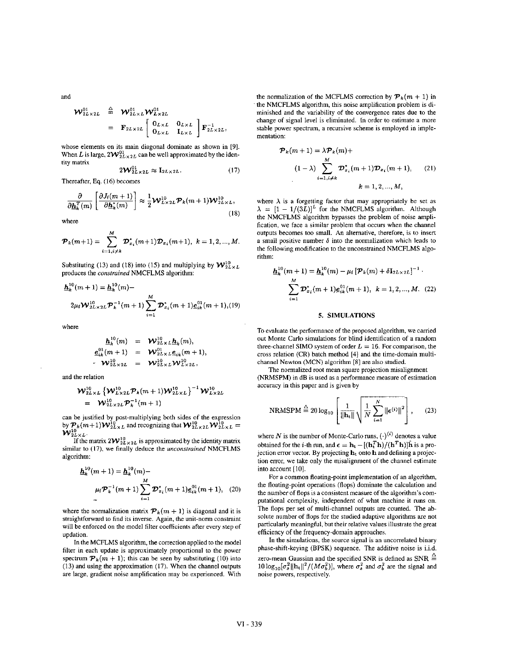and

$$
\mathbf{W}_{2L\times 2L}^{01} \triangleq \mathbf{W}_{2L\times L}^{01} \mathbf{W}_{L\times 2L}^{01}
$$
  
=  $\mathbf{F}_{2L\times 2L} \begin{bmatrix} \mathbf{0}_{L\times L} & \mathbf{0}_{L\times L} \\ \mathbf{0}_{L\times L} & \mathbf{I}_{L\times L} \end{bmatrix} \mathbf{F}_{2L\times 2L}^{-1},$ 

whose elements on its main diagonal dominate as shown in (91. When L is large,  $2W_{2L \times 2L}^{01}$  can be well approximated by the identity matrix

$$
2\mathcal{W}_{2L\times 2L}^{01} \approx \mathbf{I}_{2L\times 2L}.
$$
 (17)

Thereafter, **Eq.** (16) becomes

$$
\frac{\partial}{\partial \underline{\mathbf{h}}_k^T(m)} \left[ \frac{\partial J_t(m+1)}{\partial \underline{\mathbf{h}}_k^T(m)} \right] \approx \frac{1}{2} \mathbf{W}_{L \times 2L}^{10} \mathbf{\mathcal{P}}_k(m+1) \mathbf{W}_{2L \times L}^{10},\tag{18}
$$

where

$$
\boldsymbol{\mathcal{P}}_k(m+1)=\sum_{i=1,i\neq k}^{M}\boldsymbol{\mathcal{D}}^*_{\boldsymbol{x}_i}(m+1)\boldsymbol{\mathcal{D}}_{\boldsymbol{x}_i}(m+1),\,\,k=1,2,...,M.
$$

Substituting (13) and (18) into (15) and multiplying by  $\mathcal{W}_{2L\times L}^{10}$ produces the *constrained* NMCFLMS algorithm:

$$
\underline{h}_k^{10}(m+1) = \underline{h}_k^{10}(m) -
$$
  

$$
2\mu_i \mathcal{W}_{2L \times 2L}^{10} \mathcal{P}_k^{-1}(m+1) \sum_{i=1}^M \mathcal{D}_{x_i}^*(m+1) \underline{e}_{ik}^{01}(m+1), (19)
$$

where

$$
\begin{array}{rcl}\n\underline{h}_{k}^{10}(m) & = & \mathcal{W}_{2L \times L}^{10}(m), \\
\underline{e}_{ik}^{01}(m+1) & = & \mathcal{W}_{2L \times L}^{01}(m+1), \\
\underline{e}_{ik}^{10}(m+2) & = & \mathcal{W}_{2L \times L}^{10}(m+1), \\
\underline{e}_{ik}^{10}(m+1) & = & \mathcal{W}_{2L \times L}^{10}(m+1), \\
\underline{e}_{ik}^{10}(m+1) & = & \mathcal{W}_{2L \times L}^{10}(m+1), \\
\underline{e}_{ik}^{10}(m+1) & = & \mathcal{W}_{2L \times L}^{10}(m+1), \\
\underline{e}_{ik}^{10}(m+1) & = & \mathcal{W}_{2L \times L}^{10}(m+1), \\
\underline{e}_{ik}^{10}(m+1) & = & \mathcal{W}_{2L \times L}^{10}(m+1), \\
\underline{e}_{ik}^{10}(m+1) & = & \mathcal{W}_{2L \times L}^{10}(m+1), \\
\underline{e}_{ik}^{10}(m+1) & = & \mathcal{W}_{2L \times L}^{10}(m+1), \\
\underline{e}_{ik}^{10}(m+1) & = & \mathcal{W}_{2L \times L}^{10}(m+1), \\
\underline{e}_{ik}^{10}(m+1) & = & \mathcal{W}_{2L \times L}^{10}(m+1), \\
\underline{e}_{ik}^{10}(m+1) & = & \mathcal{W}_{2L \times L}^{10}(m+1), \\
\underline{e}_{ik}^{10}(m+1) & = & \mathcal{W}_{2L \times L}^{10}(m+1), \\
\underline{e}_{ik}^{10}(m+1) & = & \mathcal{W}_{2L \times L}^{10}(m+1), \\
\underline{e}_{ik}^{10}(m+1) & = & \mathcal{W}_{2L \times L}^{10}(m+1), \\
\underline{e}_{ik}^{10}(m+1) & = & \mathcal{W}_{2L \times L}^{10}(m+1), \\
\underline{e}_{ik
$$

and the relation

$$
\mathcal{W}_{2L\times L}^{10} \left\{ \mathcal{W}_{L\times 2L}^{10} \mathcal{P}_{k}(m+1) \mathcal{W}_{2L\times L}^{10} \right\}^{-1} \mathcal{W}_{L\times 2L}^{10}
$$
  
=  $\mathcal{W}_{2L\times 2L}^{10} \mathcal{P}_{k}^{-1}(m+1)$ 

can be justified by post-multiplying both sides of the expression by  $\mathcal{P}_k(m+1)\mathcal{W}_{2L\times L}^{10}$  and recognizing that  $\mathcal{W}_{2L\times 2L}^{10}\mathcal{W}_{2L\times L}^{10}$  =  ${\boldsymbol{\mathcal{W}}}_{2L\times L}^{\text{\tiny 10}}$  .

If the matrix  $2W_{2L\times2L}^{10}$  is approximated by the identity matrix similar to **(17).** we finally deduce the unconstrained NMCFLMS algorithm:

$$
\underline{\mathbf{h}}_k^{10}(m+1) = \underline{\mathbf{h}}_k^{10}(m) -
$$
\n
$$
\mu_f \mathcal{P}_k^{-1}(m+1) \sum_{i=1}^M \mathcal{D}_{x_i}^*(m+1) \underline{e}_{ik}^{01}(m+1), \quad (20)
$$

where the normalization matrix  $\mathcal{P}_k(m + 1)$  is diagonal and it is straightfonvard to find its inverse. Again, the unit-norm constraint will be enforced on the model filter coefficients after **every** step of updation.

In the MCFLMS algorithm, the correction applied to the model filter in each update is approximately proportional to the power spectrum  $\mathcal{P}_k(m + 1)$ ; this can be seen by substituting (10) into (13) and using the approximation (17). When the channel outputs are large, gradient noise amplification may be experienced. With

the normalization of the MCFLMS correction by  $\mathcal{P}_k(m + 1)$  in the NMCFLMS algorithm, this noise amplification problem is diminished and the variability of the convergence rates due to the change of signal level is eliminated. In order to estimate a more stable power spectrum, a recursive scheme is employed in implementation:

$$
\mathcal{P}_k(m+1) = \lambda \mathcal{P}_k(m) +
$$
  
\n
$$
(1 - \lambda) \sum_{i=1, i \neq k}^{M} \mathcal{D}_{x_i}^*(m+1) \mathcal{D}_{x_i}(m+1), \qquad (21)
$$
  
\n
$$
k = 1, 2, ..., M,
$$

where  $\lambda$  is a forgetting factor that may appropriately be set as  $\lambda = [1 - 1/(3L)]^L$  for the NMCFLMS algorithm. Although the NMCFLMS algorithm bypasses the problem of noise amplification, we face a similar problem that occurs when the channel outputs becomes too small. **An** altemative, therefore, is to insert a small positive number  $\delta$  into the normalization which leads to the following modification to the unconstrained NMCFLMS algorithm:

$$
\underline{\mathbf{h}}_k^{10}(m+1) = \underline{\mathbf{h}}_k^{10}(m) - \mu_f \left[ \mathbf{P}_k(m) + \delta \mathbf{I}_{2L \times 2L} \right]^{-1}.
$$

$$
\sum_{i=1}^M \mathbf{D}_{x_i}^*(m+1) \underline{e}_{ik}^{01}(m+1), \quad k = 1, 2, ..., M. \quad (22)
$$

## *5.* SIMULATIONS

To evaluate the performance of the proposed algorithm, we carried out Monte Carlo simulations for blind identification of a random three-channel SIMO system of order  $L = 16$ . For comparison, the cross relation (CR) batch method [4] and the time-domain multichannel Newton (MCN) algorithm **[E]** are **also** studied.

The normalized root mean square projection misalignment (NRMSPM) in dB is used as a performance measure of estimation accuracy in this paper and is given by

NRMSPM 
$$
\stackrel{\triangle}{=} 20 \log_{10} \left[ \frac{1}{\|\mathbf{h}_{\mathbf{t}}\|} \sqrt{\frac{1}{N} \sum_{i=1}^{N} ||\boldsymbol{\epsilon}^{(i)}||^2} \right],
$$
 (23)

where *N* is the number of Monte-Carlo runs,  $(·)^{(i)}$  denotes a value obtained for the *i*-th run, and  $\epsilon = \mathbf{h_t} - [(\mathbf{h_t}^T \mathbf{h})/(\mathbf{h}^T \mathbf{h})]\hat{\mathbf{h}}$  is a projection error vector. By projecting  $h_t$  onto h and defining a projection error, we take only the misalignment of the channel estimate into account [IO].

For a common floating-point implementation of an algorithm, the floating-point operations (flops) dominate the calculation and the number of flops is a consistent measure of the algorithm's computational complexity, independent of what machine it **runs** on. The flops per set of multi-channel outputs are counted. The absolute number of flops for the studied adaptive algorithms are not particularly meaningful, but their relative values illustrate the great efficiency of the frequency-domain approaches.

In the simulations, the source signal is an uncorrelated binary phase-shift-keying **(BPSK)** sequence. The additive noiseis i.i.d. zero-mean Gaussian and the specified SNR is defined as  $SNR \triangleq$  $10 \log_{10} [\sigma_s^2 ||\mathbf{h}_t||^2 / (M \sigma_b^2)]$ , where  $\sigma_s^2$  and  $\sigma_b^2$  are the signal and noise powers, respectively.